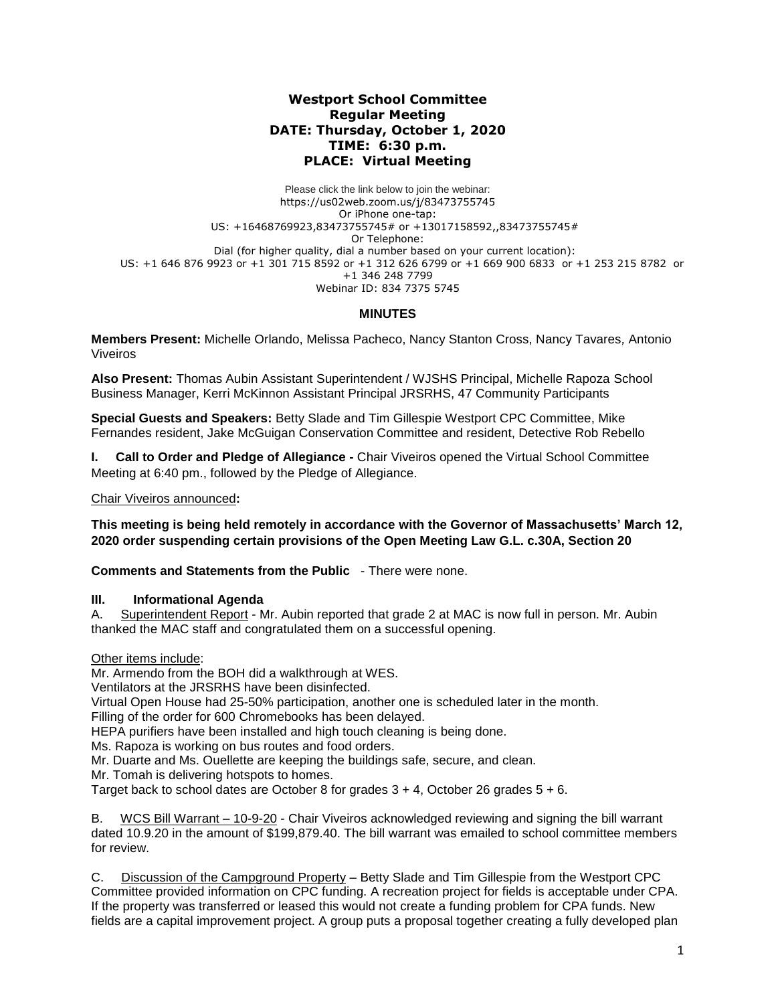# **Westport School Committee Regular Meeting DATE: Thursday, October 1, 2020 TIME: 6:30 p.m. PLACE: Virtual Meeting**

Please click the link below to join the webinar: https://us02web.zoom.us/j/83473755745 Or iPhone one-tap: US: +16468769923,83473755745# or +13017158592,,83473755745# Or Telephone: Dial (for higher quality, dial a number based on your current location): US: +1 646 876 9923 or +1 301 715 8592 or +1 312 626 6799 or +1 669 900 6833 or +1 253 215 8782 or +1 346 248 7799 Webinar ID: 834 7375 5745

## **MINUTES**

**Members Present:** Michelle Orlando, Melissa Pacheco, Nancy Stanton Cross, Nancy Tavares*,* Antonio Viveiros

**Also Present:** Thomas Aubin Assistant Superintendent / WJSHS Principal, Michelle Rapoza School Business Manager, Kerri McKinnon Assistant Principal JRSRHS, 47 Community Participants

**Special Guests and Speakers:** Betty Slade and Tim Gillespie Westport CPC Committee, Mike Fernandes resident, Jake McGuigan Conservation Committee and resident, Detective Rob Rebello

**I. Call to Order and Pledge of Allegiance -** Chair Viveiros opened the Virtual School Committee Meeting at 6:40 pm., followed by the Pledge of Allegiance.

Chair Viveiros announced**:** 

**This meeting is being held remotely in accordance with the Governor of Massachusetts' March 12, 2020 order suspending certain provisions of the Open Meeting Law G.L. c.30A, Section 20**

**Comments and Statements from the Public** - There were none.

### **III. Informational Agenda**

A. Superintendent Report - Mr. Aubin reported that grade 2 at MAC is now full in person. Mr. Aubin thanked the MAC staff and congratulated them on a successful opening.

### Other items include:

Mr. Armendo from the BOH did a walkthrough at WES.

Ventilators at the JRSRHS have been disinfected.

Virtual Open House had 25-50% participation, another one is scheduled later in the month.

Filling of the order for 600 Chromebooks has been delayed.

HEPA purifiers have been installed and high touch cleaning is being done.

Ms. Rapoza is working on bus routes and food orders.

Mr. Duarte and Ms. Ouellette are keeping the buildings safe, secure, and clean.

Mr. Tomah is delivering hotspots to homes.

Target back to school dates are October 8 for grades  $3 + 4$ , October 26 grades  $5 + 6$ .

B. WCS Bill Warrant – 10-9-20 - Chair Viveiros acknowledged reviewing and signing the bill warrant dated 10.9.20 in the amount of \$199,879.40. The bill warrant was emailed to school committee members for review.

C. Discussion of the Campground Property – Betty Slade and Tim Gillespie from the Westport CPC Committee provided information on CPC funding. A recreation project for fields is acceptable under CPA. If the property was transferred or leased this would not create a funding problem for CPA funds. New fields are a capital improvement project. A group puts a proposal together creating a fully developed plan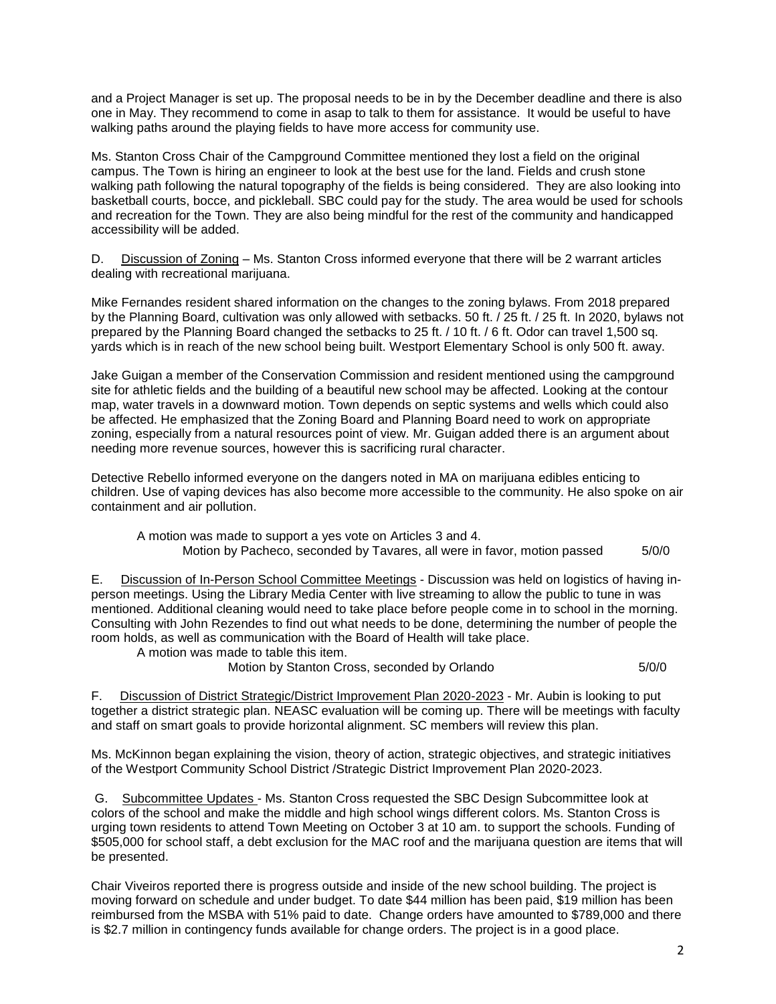and a Project Manager is set up. The proposal needs to be in by the December deadline and there is also one in May. They recommend to come in asap to talk to them for assistance. It would be useful to have walking paths around the playing fields to have more access for community use.

Ms. Stanton Cross Chair of the Campground Committee mentioned they lost a field on the original campus. The Town is hiring an engineer to look at the best use for the land. Fields and crush stone walking path following the natural topography of the fields is being considered. They are also looking into basketball courts, bocce, and pickleball. SBC could pay for the study. The area would be used for schools and recreation for the Town. They are also being mindful for the rest of the community and handicapped accessibility will be added.

D. Discussion of Zoning – Ms. Stanton Cross informed everyone that there will be 2 warrant articles dealing with recreational marijuana.

Mike Fernandes resident shared information on the changes to the zoning bylaws. From 2018 prepared by the Planning Board, cultivation was only allowed with setbacks. 50 ft. / 25 ft. / 25 ft. In 2020, bylaws not prepared by the Planning Board changed the setbacks to 25 ft. / 10 ft. / 6 ft. Odor can travel 1,500 sq. yards which is in reach of the new school being built. Westport Elementary School is only 500 ft. away.

Jake Guigan a member of the Conservation Commission and resident mentioned using the campground site for athletic fields and the building of a beautiful new school may be affected. Looking at the contour map, water travels in a downward motion. Town depends on septic systems and wells which could also be affected. He emphasized that the Zoning Board and Planning Board need to work on appropriate zoning, especially from a natural resources point of view. Mr. Guigan added there is an argument about needing more revenue sources, however this is sacrificing rural character.

Detective Rebello informed everyone on the dangers noted in MA on marijuana edibles enticing to children. Use of vaping devices has also become more accessible to the community. He also spoke on air containment and air pollution.

A motion was made to support a yes vote on Articles 3 and 4. Motion by Pacheco, seconded by Tavares, all were in favor, motion passed 5/0/0

E. Discussion of In-Person School Committee Meetings - Discussion was held on logistics of having inperson meetings. Using the Library Media Center with live streaming to allow the public to tune in was mentioned. Additional cleaning would need to take place before people come in to school in the morning. Consulting with John Rezendes to find out what needs to be done, determining the number of people the room holds, as well as communication with the Board of Health will take place.

A motion was made to table this item.

Motion by Stanton Cross, seconded by Orlando 5/0/0

F. Discussion of District Strategic/District Improvement Plan 2020-2023 - Mr. Aubin is looking to put together a district strategic plan. NEASC evaluation will be coming up. There will be meetings with faculty and staff on smart goals to provide horizontal alignment. SC members will review this plan.

Ms. McKinnon began explaining the vision, theory of action, strategic objectives, and strategic initiatives of the Westport Community School District /Strategic District Improvement Plan 2020-2023.

G. Subcommittee Updates - Ms. Stanton Cross requested the SBC Design Subcommittee look at colors of the school and make the middle and high school wings different colors. Ms. Stanton Cross is urging town residents to attend Town Meeting on October 3 at 10 am. to support the schools. Funding of \$505,000 for school staff, a debt exclusion for the MAC roof and the marijuana question are items that will be presented.

Chair Viveiros reported there is progress outside and inside of the new school building. The project is moving forward on schedule and under budget. To date \$44 million has been paid, \$19 million has been reimbursed from the MSBA with 51% paid to date. Change orders have amounted to \$789,000 and there is \$2.7 million in contingency funds available for change orders. The project is in a good place.